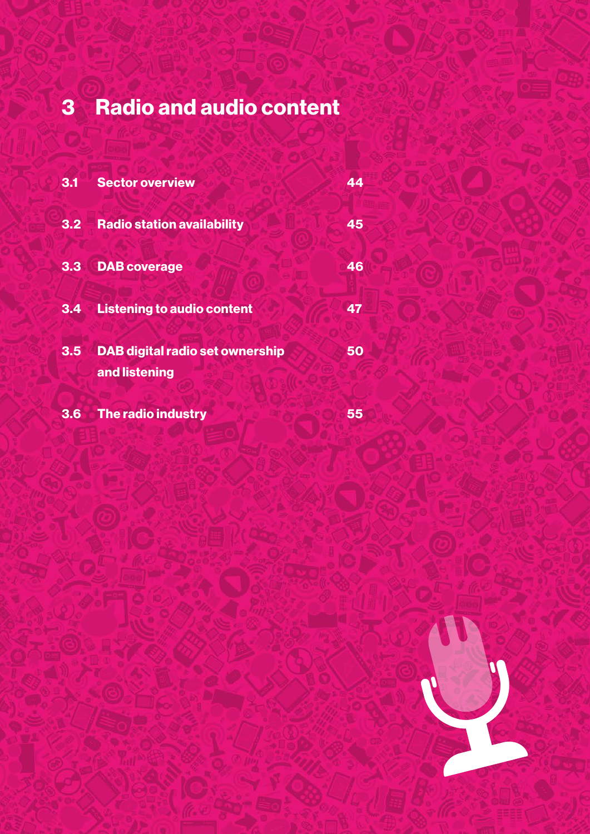# 3 Radio and audio content

| 3.1 | <b>Sector overview</b>                                  | 44 |
|-----|---------------------------------------------------------|----|
| 3.2 | <b>Radio station availability</b>                       | 45 |
| 3.3 | <b>DAB</b> coverage                                     | 46 |
| 3.4 | <b>Listening to audio content</b>                       | 47 |
| 3.5 | <b>DAB digital radio set ownership</b><br>and listening | 50 |
| 3.6 | The radio industry                                      | 55 |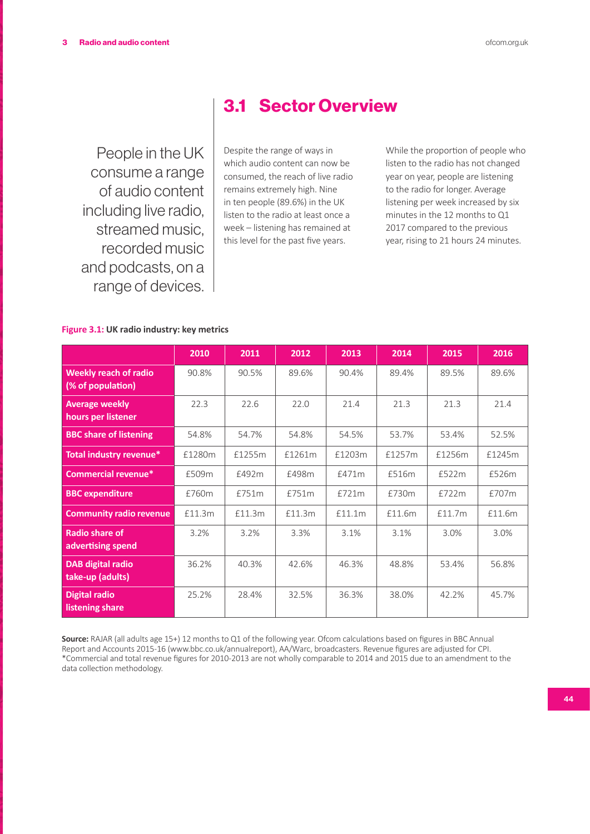People in the UK consume a range of audio content including live radio, streamed music, recorded music and podcasts, on a range of devices.

# 3.1 Sector Overview

Despite the range of ways in which audio content can now be consumed, the reach of live radio remains extremely high. Nine in ten people (89.6%) in the UK listen to the radio at least once a week – listening has remained at this level for the past five years.

While the proportion of people who listen to the radio has not changed year on year, people are listening to the radio for longer. Average listening per week increased by six minutes in the 12 months to Q1 2017 compared to the previous year, rising to 21 hours 24 minutes.

#### **Figure 3.1: UK radio industry: key metrics**

|                                                   | 2010   | 2011   | 2012   | 2013   | 2014   | 2015   | 2016   |
|---------------------------------------------------|--------|--------|--------|--------|--------|--------|--------|
| <b>Weekly reach of radio</b><br>(% of population) | 90.8%  | 90.5%  | 89.6%  | 90.4%  | 89.4%  | 89.5%  | 89.6%  |
| <b>Average weekly</b><br>hours per listener       | 22.3   | 22.6   | 22.0   | 21.4   | 21.3   | 21.3   | 21.4   |
| <b>BBC share of listening</b>                     | 54.8%  | 54.7%  | 54.8%  | 54.5%  | 53.7%  | 53.4%  | 52.5%  |
| Total industry revenue*                           | £1280m | £1255m | £1261m | £1203m | £1257m | £1256m | £1245m |
| Commercial revenue*                               | £509m  | £492m  | £498m  | £471m  | £516m  | £522m  | £526m  |
| <b>BBC</b> expenditure                            | £760m  | £751m  | £751m  | £721m  | £730m  | £722m  | £707m  |
| <b>Community radio revenue</b>                    | £11.3m | £11.3m | £11.3m | £11.1m | £11.6m | £11.7m | £11.6m |
| <b>Radio share of</b><br>advertising spend        | 3.2%   | 3.2%   | 3.3%   | 3.1%   | 3.1%   | 3.0%   | 3.0%   |
| <b>DAB digital radio</b><br>take-up (adults)      | 36.2%  | 40.3%  | 42.6%  | 46.3%  | 48.8%  | 53.4%  | 56.8%  |
| <b>Digital radio</b><br>listening share           | 25.2%  | 28.4%  | 32.5%  | 36.3%  | 38.0%  | 42.2%  | 45.7%  |

**Source:** RAJAR (all adults age 15+) 12 months to Q1 of the following year. Ofcom calculations based on figures in BBC Annual Report and Accounts 2015-16 (www.bbc.co.uk/annualreport), AA/Warc, broadcasters. Revenue figures are adjusted for CPI. \*Commercial and total revenue figures for 2010-2013 are not wholly comparable to 2014 and 2015 due to an amendment to the data collection methodology.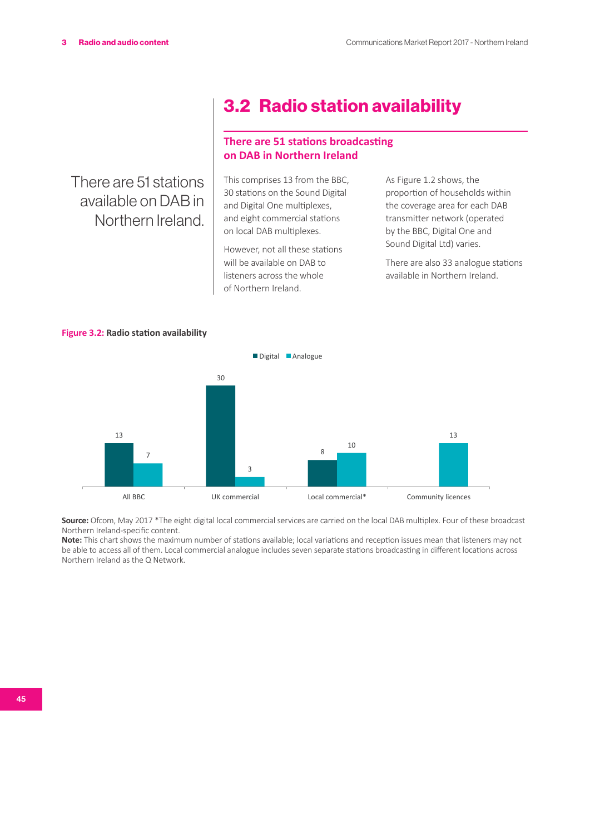There are 51 stations available on DAB in Northern Ireland.

# 3.2 Radio station availability

#### **There are 51 stations broadcasting on DAB in Northern Ireland**

This comprises 13 from the BBC, 30 stations on the Sound Digital and Digital One multiplexes, and eight commercial stations on local DAB multiplexes.

However, not all these stations will be available on DAB to listeners across the whole of Northern Ireland.

As Figure 1.2 shows, the proportion of households within the coverage area for each DAB transmitter network (operated by the BBC, Digital One and Sound Digital Ltd) varies.

There are also 33 analogue stations available in Northern Ireland.





**Source:** Ofcom, May 2017 \*The eight digital local commercial services are carried on the local DAB multiplex. Four of these broadcast Northern Ireland-specific content.

**Note:** This chart shows the maximum number of stations available; local variations and reception issues mean that listeners may not be able to access all of them. Local commercial analogue includes seven separate stations broadcasting in different locations across Northern Ireland as the Q Network.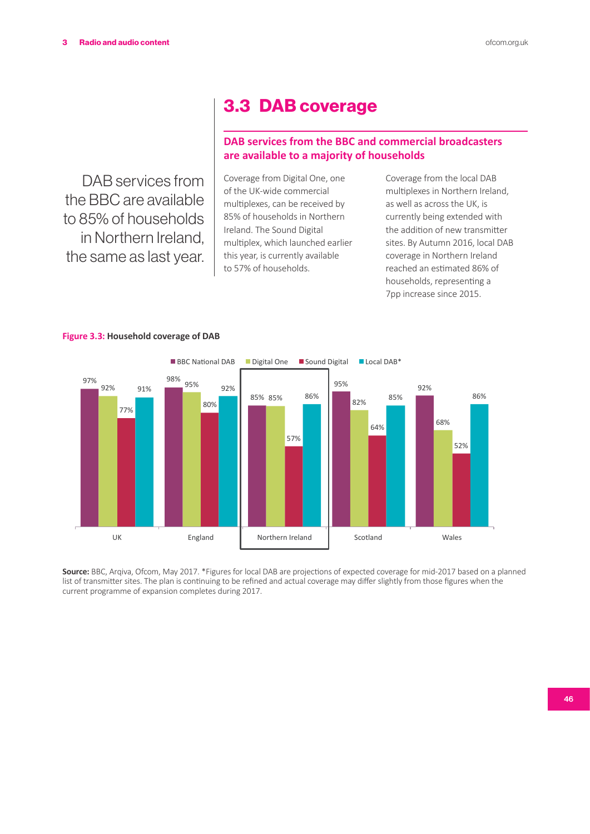DAB services from the BBC are available to 85% of households in Northern Ireland, the same as last year.

# 3.3 DAB coverage

# **DAB services from the BBC and commercial broadcasters are available to a majority of households**

Coverage from Digital One, one of the UK-wide commercial multiplexes, can be received by 85% of households in Northern Ireland. The Sound Digital multiplex, which launched earlier this year, is currently available to 57% of households.

Coverage from the local DAB multiplexes in Northern Ireland, as well as across the UK, is currently being extended with the addition of new transmitter sites. By Autumn 2016, local DAB coverage in Northern Ireland reached an estimated 86% of households, representing a 7pp increase since 2015.



#### **Figure 3.3: Household coverage of DAB**

**Source:** BBC, Arqiva, Ofcom, May 2017. \*Figures for local DAB are projections of expected coverage for mid-2017 based on a planned list of transmitter sites. The plan is continuing to be refined and actual coverage may differ slightly from those figures when the current programme of expansion completes during 2017.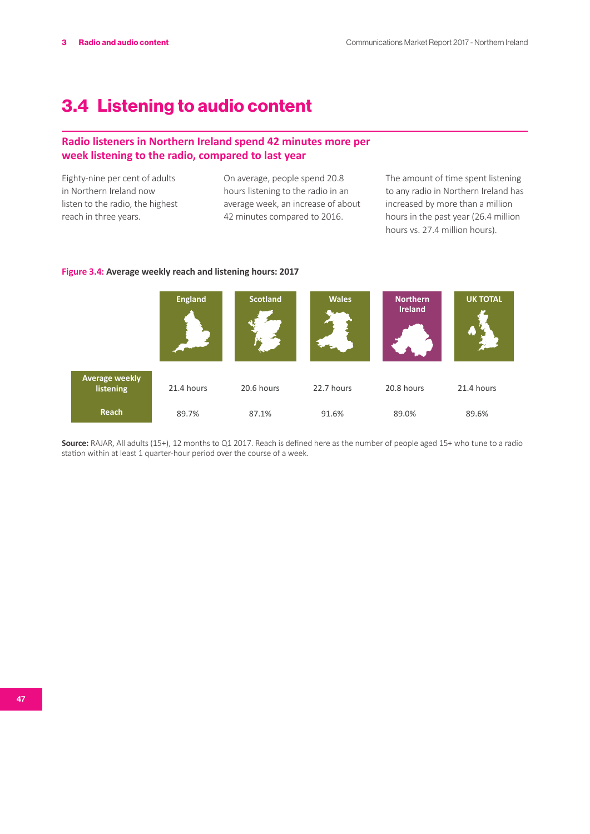# 3.4 Listening to audio content

### **Radio listeners in Northern Ireland spend 42 minutes more per week listening to the radio, compared to last year**

Eighty-nine per cent of adults in Northern Ireland now listen to the radio, the highest reach in three years.

On average, people spend 20.8 hours listening to the radio in an average week, an increase of about 42 minutes compared to 2016.

The amount of time spent listening to any radio in Northern Ireland has increased by more than a million hours in the past year (26.4 million hours vs. 27.4 million hours).



**Figure 3.4: Average weekly reach and listening hours: 2017**

**Source:** RAJAR, All adults (15+), 12 months to Q1 2017. Reach is defined here as the number of people aged 15+ who tune to a radio station within at least 1 quarter-hour period over the course of a week.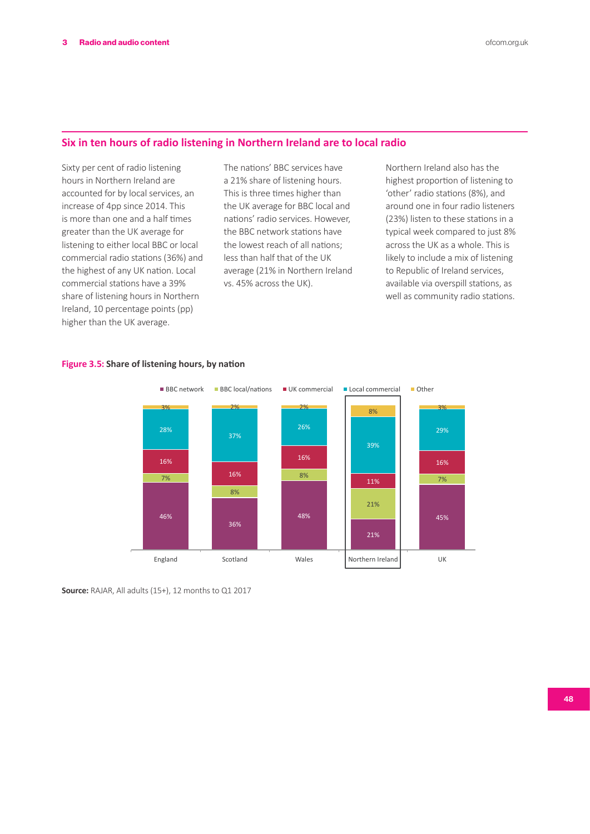# **Six in ten hours of radio listening in Northern Ireland are to local radio**

Sixty per cent of radio listening hours in Northern Ireland are accounted for by local services, an increase of 4pp since 2014. This is more than one and a half times greater than the UK average for listening to either local BBC or local commercial radio stations (36%) and the highest of any UK nation. Local commercial stations have a 39% share of listening hours in Northern Ireland, 10 percentage points (pp) higher than the UK average.

The nations' BBC services have a 21% share of listening hours. This is three times higher than the UK average for BBC local and nations' radio services. However, the BBC network stations have the lowest reach of all nations; less than half that of the UK average (21% in Northern Ireland vs. 45% across the UK).

Northern Ireland also has the highest proportion of listening to 'other' radio stations (8%), and around one in four radio listeners (23%) listen to these stations in a typical week compared to just 8% across the UK as a whole. This is likely to include a mix of listening to Republic of Ireland services, available via overspill stations, as well as community radio stations.



#### **Figure 3.5: Share of listening hours, by nation**

**Source:** RAJAR, All adults (15+), 12 months to Q1 2017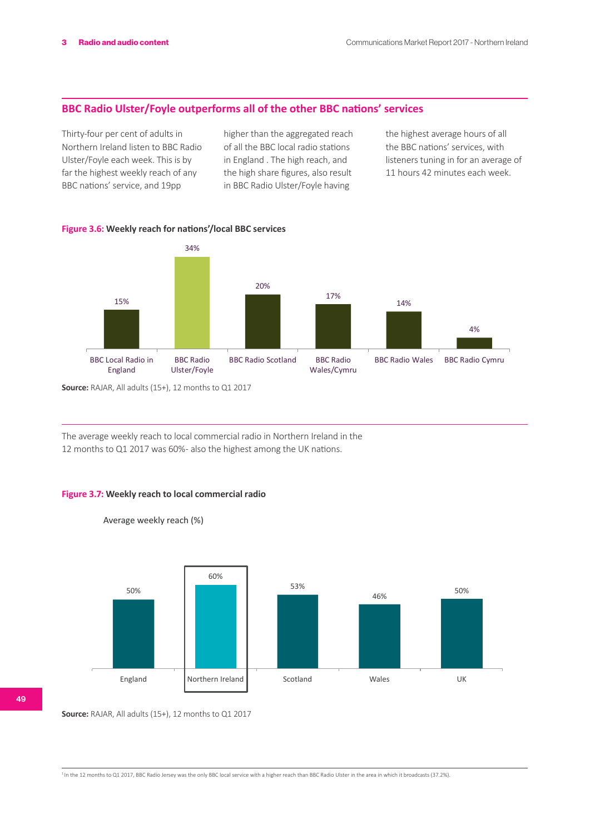#### **BBC Radio Ulster/Foyle outperforms all of the other BBC nations' services**

Thirty-four per cent of adults in Northern Ireland listen to BBC Radio Ulster/Foyle each week. This is by far the highest weekly reach of any BBC nations' service, and 19pp

higher than the aggregated reach of all the BBC local radio stations in England . The high reach, and the high share figures, also result in BBC Radio Ulster/Foyle having

the highest average hours of all the BBC nations' services, with listeners tuning in for an average of 11 hours 42 minutes each week.

**Figure 3.6: Weekly reach for nations'/local BBC services**



**Source:** RAJAR, All adults (15+), 12 months to Q1 2017

The average weekly reach to local commercial radio in Northern Ireland in the 12 months to Q1 2017 was 60% - also the highest among the UK nations.



Average weekly reach (%)



**Source:** RAJAR, All adults (15+), 12 months to Q1 2017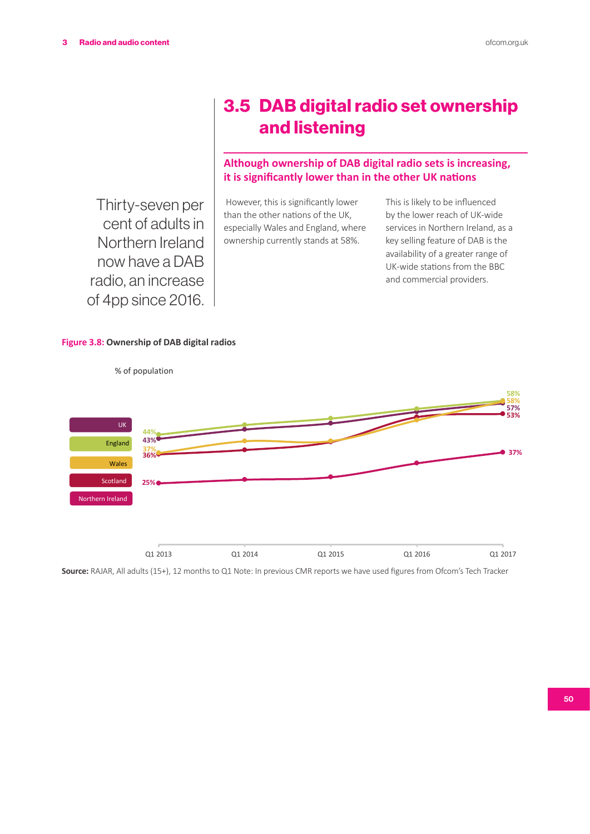3.5 DAB digital radio set ownership and listening

### **Although ownership of DAB digital radio sets is increasing, it is significantly lower than in the other UK nations**

Thirty-seven per cent of adults in Northern Ireland now have a DAB radio, an increase of 4pp since 2016.

#### However, this is significantly lower than the other nations of the UK, especially Wales and England, where ownership currently stands at 58%.

This is likely to be influenced by the lower reach of UK-wide services in Northern Ireland, as a key selling feature of DAB is the availability of a greater range of UK-wide stations from the BBC and commercial providers.

#### **Figure 3.8: Ownership of DAB digital radios**



% of population

**Source:** RAJAR, All adults (15+), 12 months to Q1 Note: In previous CMR reports we have used figures from Ofcom's Tech Tracker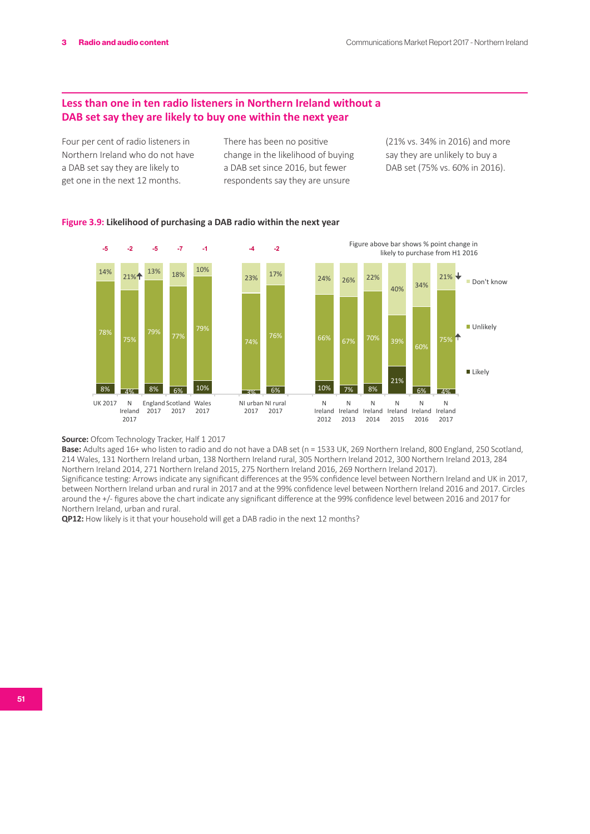### **Less than one in ten radio listeners in Northern Ireland without a DAB set say they are likely to buy one within the next year**

Four per cent of radio listeners in Northern Ireland who do not have a DAB set say they are likely to get one in the next 12 months.

There has been no positive change in the likelihood of buying a DAB set since 2016, but fewer respondents say they are unsure

(21% vs. 34% in 2016) and more say they are unlikely to buy a DAB set (75% vs. 60% in 2016).





**Source:** Ofcom Technology Tracker, Half 1 2017

**Base:** Adults aged 16+ who listen to radio and do not have a DAB set (n = 1533 UK, 269 Northern Ireland, 800 England, 250 Scotland, 214 Wales, 131 Northern Ireland urban, 138 Northern Ireland rural, 305 Northern Ireland 2012, 300 Northern Ireland 2013, 284 Northern Ireland 2014, 271 Northern Ireland 2015, 275 Northern Ireland 2016, 269 Northern Ireland 2017).

Significance testing: Arrows indicate any significant differences at the 95% confidence level between Northern Ireland and UK in 2017, between Northern Ireland urban and rural in 2017 and at the 99% confidence level between Northern Ireland 2016 and 2017. Circles around the +/- figures above the chart indicate any significant difference at the 99% confidence level between 2016 and 2017 for Northern Ireland, urban and rural.

**QP12:** How likely is it that your household will get a DAB radio in the next 12 months?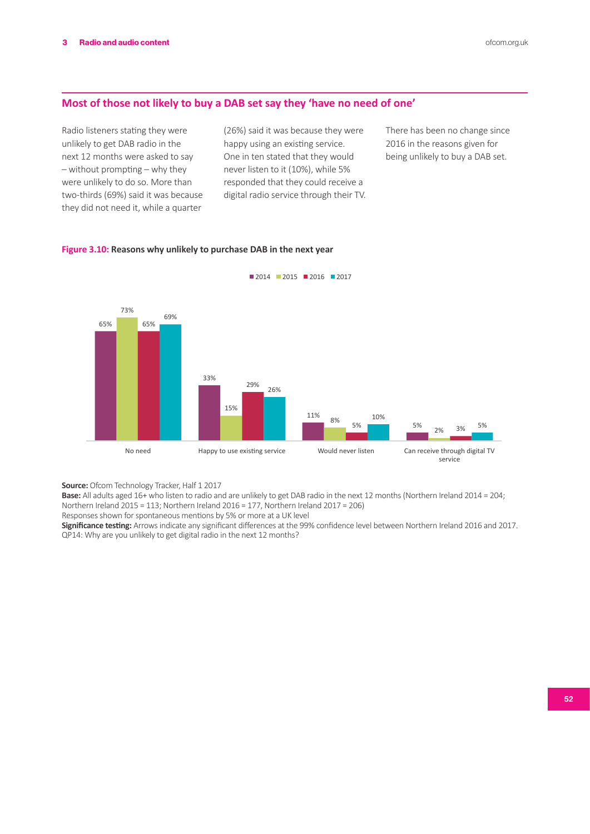#### **Most of those not likely to buy a DAB set say they 'have no need of one'**

Radio listeners stating they were unlikely to get DAB radio in the next 12 months were asked to say – without prompting – why they were unlikely to do so. More than two-thirds (69%) said it was because they did not need it, while a quarter

(26%) said it was because they were happy using an existing service. One in ten stated that they would never listen to it (10%), while 5% responded that they could receive a digital radio service through their TV.

**2014** 2015 2016 2017

There has been no change since 2016 in the reasons given for being unlikely to buy a DAB set.

#### **Figure 3.10: Reasons why unlikely to purchase DAB in the next year**



**Source:** Ofcom Technology Tracker, Half 1 2017

**Base:** All adults aged 16+ who listen to radio and are unlikely to get DAB radio in the next 12 months (Northern Ireland 2014 = 204; Northern Ireland 2015 = 113; Northern Ireland 2016 = 177, Northern Ireland 2017 = 206)

Responses shown for spontaneous mentions by 5% or more at a UK level

**Significance testing:** Arrows indicate any significant differences at the 99% confidence level between Northern Ireland 2016 and 2017. QP14: Why are you unlikely to get digital radio in the next 12 months?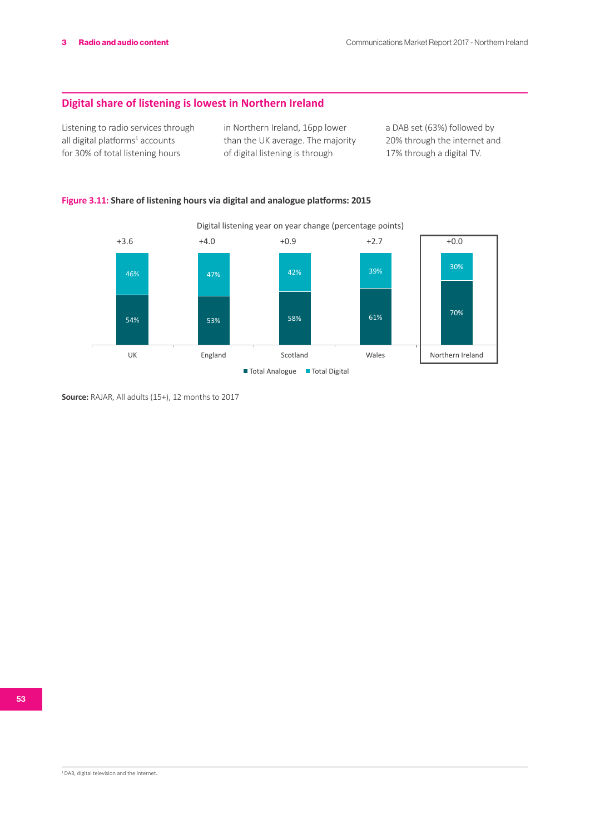### **Digital share of listening is lowest in Northern Ireland**

Listening to radio services through all digital platforms<sup>1</sup> accounts for 30% of total listening hours

in Northern Ireland, 16pp lower than the UK average. The majority of digital listening is through

a DAB set (63%) followed by 20% through the internet and 17% through a digital TV.

### **Figure 3.11: Share of listening hours via digital and analogue platforms: 2015**



**Source:** RAJAR, All adults (15+), 12 months to 2017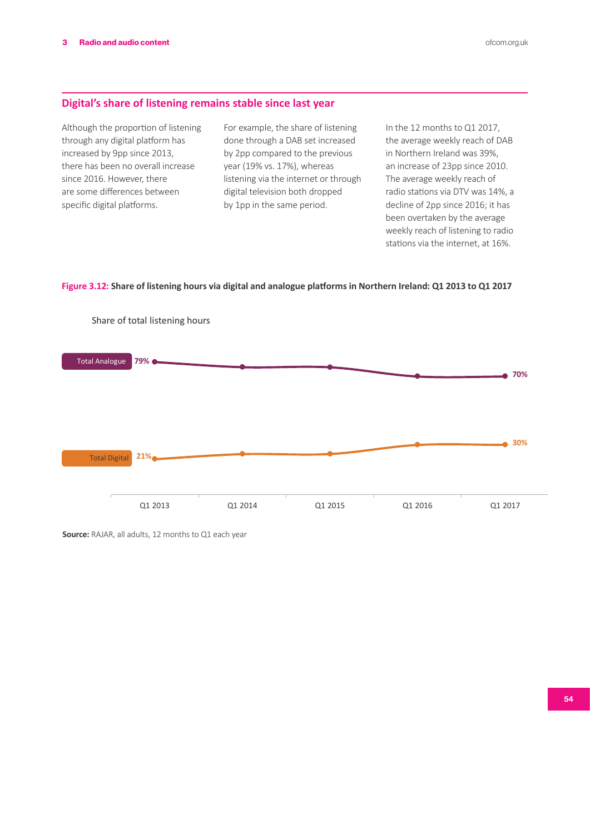#### **Digital's share of listening remains stable since last year**

Although the proportion of listening through any digital platform has increased by 9pp since 2013, there has been no overall increase since 2016. However, there are some differences between specific digital platforms.

For example, the share of listening done through a DAB set increased by 2pp compared to the previous year (19% vs. 17%), whereas listening via the internet or through digital television both dropped by 1pp in the same period.

In the 12 months to Q1 2017, the average weekly reach of DAB in Northern Ireland was 39%, an increase of 23pp since 2010. The average weekly reach of radio stations via DTV was 14%, a decline of 2pp since 2016; it has been overtaken by the average weekly reach of listening to radio stations via the internet, at 16%.

**Figure 3.12: Share of listening hours via digital and analogue platforms in Northern Ireland: Q1 2013 to Q1 2017**



**Source:** RAJAR, all adults, 12 months to Q1 each year